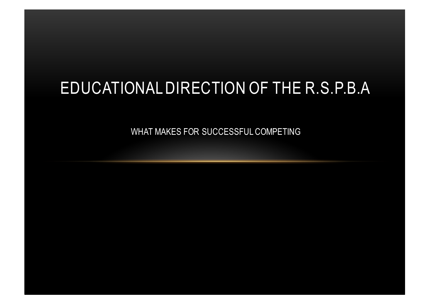## EDUCATIONAL DIRECTION OF THE R.S.P.B.A

WHAT MAKES FOR SUCCESSFUL COMPETING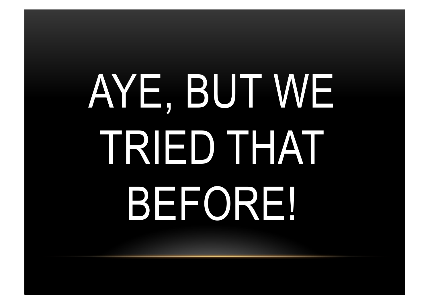# AYE, BUT WE TRIED THAT BEFORE!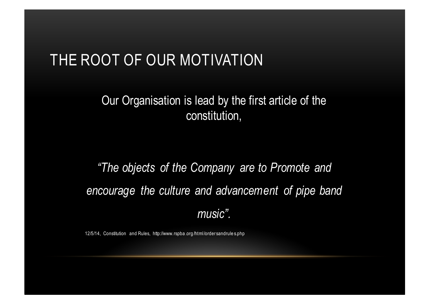### THE ROOT OF OUR MOTIVATION

#### Our Organisation is lead by the first article of the constitution,

*"The objects of the Company are to Promote and encourage the culture and advancement of pipe band music".*

12/5/14, Constitution and Rules, http://www.rspba .org /html /order sandrule s.php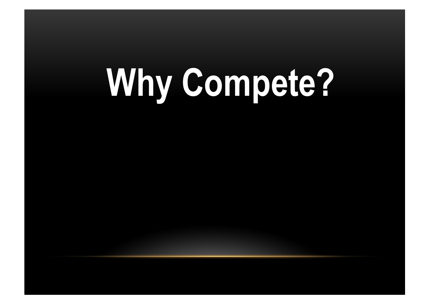# **Why Compete?**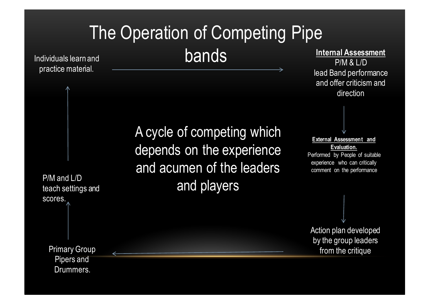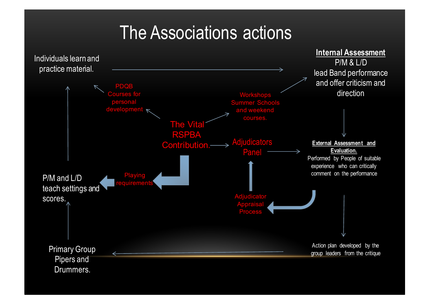## The Associations actions